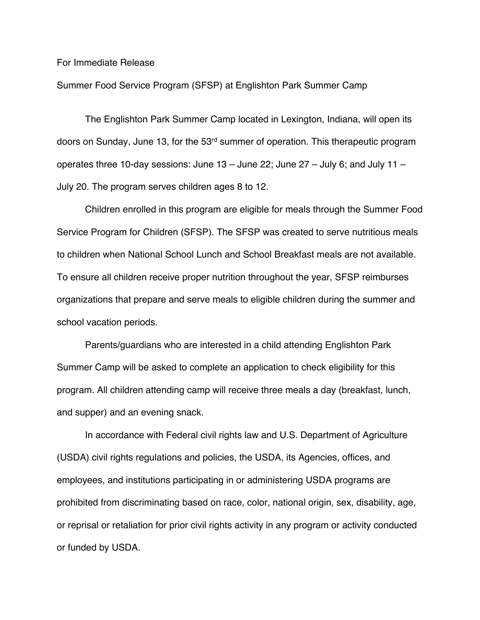For Immediate Release

Summer Food Service Program (SFSP) at Englishton Park Summer Camp

The Englishton Park Summer Camp located in Lexington, Indiana, will open its doors on Sunday, June 13, for the 53rd summer of operation. This therapeutic program operates three 10-day sessions: June 13 – June 22; June 27 – July 6; and July 11 – July 20. The program serves children ages 8 to 12.

Children enrolled in this program are eligible for meals through the Summer Food Service Program for Children (SFSP). The SFSP was created to serve nutritious meals to children when National School Lunch and School Breakfast meals are not available. To ensure all children receive proper nutrition throughout the year, SFSP reimburses organizations that prepare and serve meals to eligible children during the summer and school vacation periods.

Parents/guardians who are interested in a child attending Englishton Park Summer Camp will be asked to complete an application to check eligibility for this program. All children attending camp will receive three meals a day (breakfast, lunch, and supper) and an evening snack.

In accordance with Federal civil rights law and U.S. Department of Agriculture (USDA) civil rights regulations and policies, the USDA, its Agencies, offices, and employees, and institutions participating in or administering USDA programs are prohibited from discriminating based on race, color, national origin, sex, disability, age, or reprisal or retaliation for prior civil rights activity in any program or activity conducted or funded by USDA.